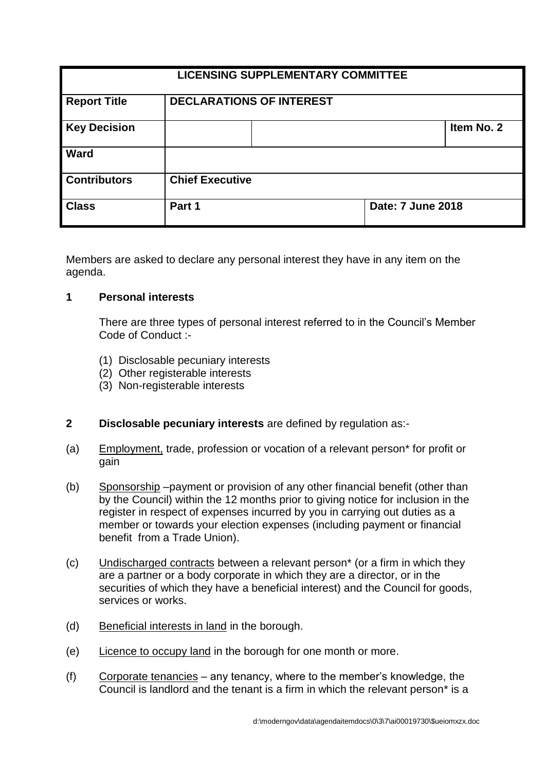| <b>LICENSING SUPPLEMENTARY COMMITTEE</b> |                                 |                   |            |
|------------------------------------------|---------------------------------|-------------------|------------|
| <b>Report Title</b>                      | <b>DECLARATIONS OF INTEREST</b> |                   |            |
| <b>Key Decision</b>                      |                                 |                   | Item No. 2 |
| <b>Ward</b>                              |                                 |                   |            |
| <b>Contributors</b>                      | <b>Chief Executive</b>          |                   |            |
| <b>Class</b>                             | Part 1                          | Date: 7 June 2018 |            |

Members are asked to declare any personal interest they have in any item on the agenda.

#### **1 Personal interests**

There are three types of personal interest referred to in the Council's Member Code of Conduct :-

- (1) Disclosable pecuniary interests
- (2) Other registerable interests
- (3) Non-registerable interests

# **2 Disclosable pecuniary interests** are defined by regulation as:-

- (a) Employment, trade, profession or vocation of a relevant person\* for profit or gain
- (b) Sponsorship –payment or provision of any other financial benefit (other than by the Council) within the 12 months prior to giving notice for inclusion in the register in respect of expenses incurred by you in carrying out duties as a member or towards your election expenses (including payment or financial benefit from a Trade Union).
- (c) Undischarged contracts between a relevant person\* (or a firm in which they are a partner or a body corporate in which they are a director, or in the securities of which they have a beneficial interest) and the Council for goods, services or works.
- (d) Beneficial interests in land in the borough.
- (e) Licence to occupy land in the borough for one month or more.
- (f) Corporate tenancies any tenancy, where to the member's knowledge, the Council is landlord and the tenant is a firm in which the relevant person\* is a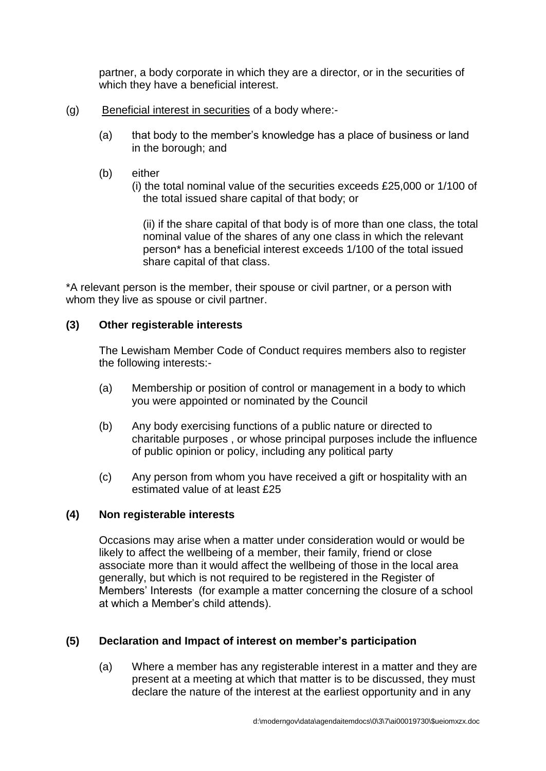partner, a body corporate in which they are a director, or in the securities of which they have a beneficial interest.

- (g) Beneficial interest in securities of a body where:-
	- (a) that body to the member's knowledge has a place of business or land in the borough; and
	- (b) either

(i) the total nominal value of the securities exceeds £25,000 or 1/100 of the total issued share capital of that body; or

(ii) if the share capital of that body is of more than one class, the total nominal value of the shares of any one class in which the relevant person\* has a beneficial interest exceeds 1/100 of the total issued share capital of that class.

\*A relevant person is the member, their spouse or civil partner, or a person with whom they live as spouse or civil partner.

# **(3) Other registerable interests**

The Lewisham Member Code of Conduct requires members also to register the following interests:-

- (a) Membership or position of control or management in a body to which you were appointed or nominated by the Council
- (b) Any body exercising functions of a public nature or directed to charitable purposes , or whose principal purposes include the influence of public opinion or policy, including any political party
- (c) Any person from whom you have received a gift or hospitality with an estimated value of at least £25

# **(4) Non registerable interests**

Occasions may arise when a matter under consideration would or would be likely to affect the wellbeing of a member, their family, friend or close associate more than it would affect the wellbeing of those in the local area generally, but which is not required to be registered in the Register of Members' Interests (for example a matter concerning the closure of a school at which a Member's child attends).

# **(5) Declaration and Impact of interest on member's participation**

(a) Where a member has any registerable interest in a matter and they are present at a meeting at which that matter is to be discussed, they must declare the nature of the interest at the earliest opportunity and in any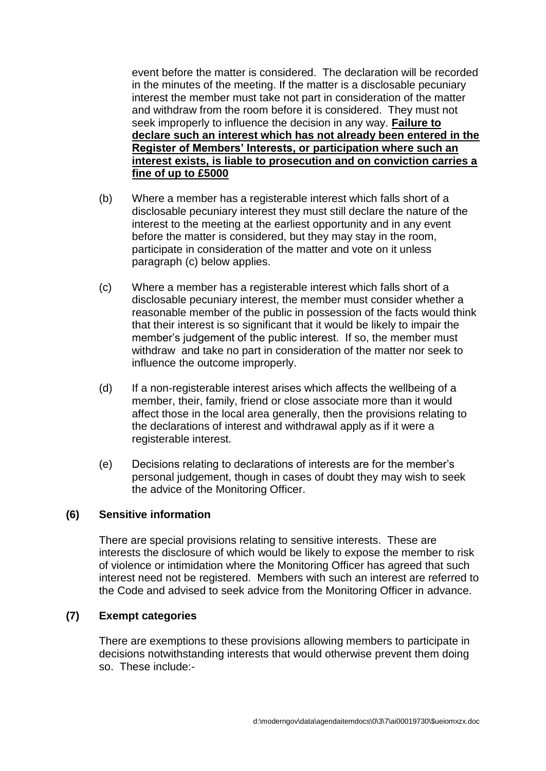event before the matter is considered. The declaration will be recorded in the minutes of the meeting. If the matter is a disclosable pecuniary interest the member must take not part in consideration of the matter and withdraw from the room before it is considered. They must not seek improperly to influence the decision in any way. **Failure to declare such an interest which has not already been entered in the Register of Members' Interests, or participation where such an interest exists, is liable to prosecution and on conviction carries a fine of up to £5000**

- (b) Where a member has a registerable interest which falls short of a disclosable pecuniary interest they must still declare the nature of the interest to the meeting at the earliest opportunity and in any event before the matter is considered, but they may stay in the room, participate in consideration of the matter and vote on it unless paragraph (c) below applies.
- (c) Where a member has a registerable interest which falls short of a disclosable pecuniary interest, the member must consider whether a reasonable member of the public in possession of the facts would think that their interest is so significant that it would be likely to impair the member's judgement of the public interest. If so, the member must withdraw and take no part in consideration of the matter nor seek to influence the outcome improperly.
- (d) If a non-registerable interest arises which affects the wellbeing of a member, their, family, friend or close associate more than it would affect those in the local area generally, then the provisions relating to the declarations of interest and withdrawal apply as if it were a registerable interest.
- (e) Decisions relating to declarations of interests are for the member's personal judgement, though in cases of doubt they may wish to seek the advice of the Monitoring Officer.

# **(6) Sensitive information**

There are special provisions relating to sensitive interests. These are interests the disclosure of which would be likely to expose the member to risk of violence or intimidation where the Monitoring Officer has agreed that such interest need not be registered. Members with such an interest are referred to the Code and advised to seek advice from the Monitoring Officer in advance.

#### **(7) Exempt categories**

There are exemptions to these provisions allowing members to participate in decisions notwithstanding interests that would otherwise prevent them doing so. These include:-